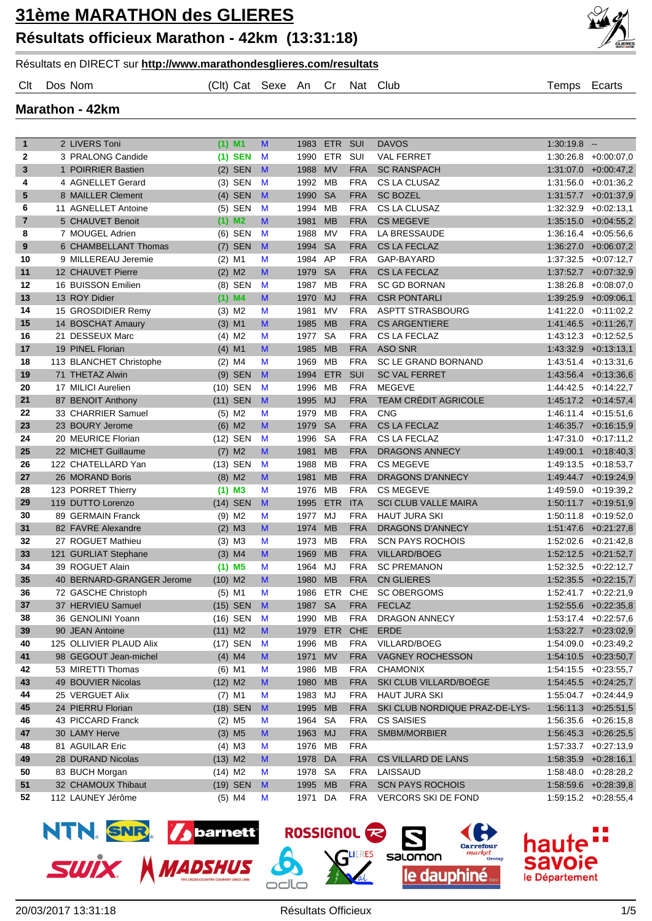

Résultats en DIRECT sur **http://www.marathondesglieres.com/resultats**

Clt Dos Nom (Clt) Cat Sexe An Cr Nat Club Temps Ecarts

#### **Marathon - 42km**

| $\mathbf{1}$   | 2 LIVERS Toni             | $(1)$ M1             | M              | 1983 ETR SUI |            |            | <b>DAVOS</b>                   | $1:30:19.8 -$ |                          |
|----------------|---------------------------|----------------------|----------------|--------------|------------|------------|--------------------------------|---------------|--------------------------|
| $\mathbf{2}$   | 3 PRALONG Candide         | $(1)$ SEN            | M              | 1990         | ETR        | SUI        | <b>VAL FERRET</b>              |               | $1:30:26.8$ +0:00:07,0   |
| 3              | 1 POIRRIER Bastien        | $(2)$ SEN            | M              | 1988         | <b>MV</b>  | <b>FRA</b> | <b>SC RANSPACH</b>             |               | $1:31:07.0$ +0:00:47,2   |
| 4              | 4 AGNELLET Gerard         | $(3)$ SEN            | M              | 1992 MB      |            | <b>FRA</b> | CS LA CLUSAZ                   |               | $1:31:56.0 +0.01:36.2$   |
| 5              | 8 MAILLER Clement         | $(4)$ SEN            | $\blacksquare$ | 1990         | <b>SA</b>  | <b>FRA</b> | <b>SC BOZEL</b>                |               | $1:31:57.7$ +0:01:37,9   |
| 6              | 11 AGNELLET Antoine       | $(5)$ SEN            | M              | 1994         | <b>MB</b>  | <b>FRA</b> | CS LA CLUSAZ                   |               | $1:32:32.9$ +0:02:13,1   |
| $\overline{7}$ | 5 CHAUVET Benoit          | $(1)$ M2             | M              | 1981         | <b>MB</b>  | <b>FRA</b> | <b>CS MEGEVE</b>               |               | $1:35:15.0 +0:04:55,2$   |
| 8              | 7 MOUGEL Adrien           | $(6)$ SEN            | M              | 1988         | MV         | <b>FRA</b> | LA BRESSAUDE                   |               | $1:36:16.4$ +0:05:56,6   |
| 9              | 6 CHAMBELLANT Thomas      | $(7)$ SEN            | $\mathbf{M}$   | 1994         | <b>SA</b>  | <b>FRA</b> | <b>CS LA FECLAZ</b>            |               | $1:36:27.0 +0.06:07,2$   |
| 10             | 9 MILLEREAU Jeremie       | $(2)$ M1             | М              | 1984         | AP         | <b>FRA</b> | GAP-BAYARD                     |               | $1:37:32.5 +0.07:12.7$   |
| 11             | 12 CHAUVET Pierre         | $(2)$ M <sub>2</sub> | M              | 1979         | <b>SA</b>  | <b>FRA</b> | <b>CS LA FECLAZ</b>            |               | $1:37:52.7$ +0:07:32,9   |
| 12             | 16 BUISSON Emilien        | $(8)$ SEN            | M              | 1987         | MB         | <b>FRA</b> | <b>SC GD BORNAN</b>            |               | $1:38:26.8$ +0:08:07,0   |
| 13             | 13 ROY Didier             | $(1)$ M4             | M              | 1970         | <b>MJ</b>  | <b>FRA</b> | <b>CSR PONTARLI</b>            |               | $1:39.25.9$ +0:09:06,1   |
| 14             | 15 GROSDIDIER Remy        | $(3)$ M <sub>2</sub> | М              | 1981         | MV         | <b>FRA</b> | <b>ASPTT STRASBOURG</b>        |               | $1:41:22.0 +0:11:02.2$   |
| 15             | 14 BOSCHAT Amaury         | $(3)$ M1             | M              | 1985         | <b>MB</b>  | <b>FRA</b> | <b>CS ARGENTIERE</b>           |               | $1:41:46.5$ +0:11:26,7   |
| 16             | 21 DESSEUX Marc           | $(4)$ M <sub>2</sub> | M              | 1977         | <b>SA</b>  | <b>FRA</b> | CS LA FECLAZ                   |               | $1:43:12.3 +0:12:52.5$   |
| 17             | 19 PINEL Florian          | $(4)$ M1             | M              | 1985         | <b>MB</b>  | <b>FRA</b> | <b>ASO SNR</b>                 |               | $1:43:32.9$ +0:13:13,1   |
| 18             | 113 BLANCHET Christophe   | $(2)$ M4             | M              | 1969         | MВ         | <b>FRA</b> | SC LE GRAND BORNAND            |               | $1:43.51.4$ +0:13:31,6   |
| 19             | 71 THETAZ Alwin           | $(9)$ SEN            | M              | 1994         | <b>ETR</b> | <b>SUI</b> | <b>SC VAL FERRET</b>           |               | $1:43.56.4$ +0:13:36,6   |
| 20             | 17 MILICI Aurelien        | (10) SEN             | M              | 1996         | MВ         | <b>FRA</b> | <b>MEGEVE</b>                  |               | $1:44:42.5 +0:14:22.7$   |
| 21             | 87 BENOIT Anthony         | $(11)$ SEN           | M              | 1995         | <b>MJ</b>  | <b>FRA</b> | <b>TEAM CRÉDIT AGRICOLE</b>    |               | $1:45:17.2$ +0:14:57,4   |
| 22             | 33 CHARRIER Samuel        | $(5)$ M2             | М              | 1979         | MВ         | <b>FRA</b> | <b>CNG</b>                     |               | $1:46:11.4$ +0:15:51,6   |
| 23             | 23 BOURY Jerome           | $(6)$ M2             | M              | 1979         | <b>SA</b>  | <b>FRA</b> | <b>CS LA FECLAZ</b>            |               | $1:46:35.7$ +0:16:15,9   |
| 24             | 20 MEURICE Florian        | (12) SEN             | M              | 1996         | <b>SA</b>  | <b>FRA</b> | CS LA FECLAZ                   |               | $1:47:31.0 +0:17:11,2$   |
| 25             | 22 MICHET Guillaume       | $(7)$ M2             | M              | 1981         | <b>MB</b>  | <b>FRA</b> | <b>DRAGONS ANNECY</b>          |               | $1:49:00.1 + 0:18:40,3$  |
| 26             | 122 CHATELLARD Yan        | (13) SEN             | M              | 1988         | MВ         | <b>FRA</b> | <b>CS MEGEVE</b>               |               | $1:49:13.5 + 0:18:53.7$  |
| 27             | 26 MORAND Boris           | $(8)$ M2             | M              | 1981         | <b>MB</b>  | <b>FRA</b> | <b>DRAGONS D'ANNECY</b>        |               | $1:49:44.7$ $+0:19:24.9$ |
| 28             | 123 PORRET Thierry        | $(1)$ M3             | M              | 1976 MB      |            | <b>FRA</b> | <b>CS MEGEVE</b>               |               | $1:49:59.0 +0:19:39.2$   |
| 29             | 119 DUTTO Lorenzo         | (14) SEN             | M              | 1995         | <b>ETR</b> | <b>ITA</b> | <b>SCI CLUB VALLE MAIRA</b>    |               | $1:50:11.7$ +0:19:51,9   |
| 30             | 89 GERMAIN Franck         | $(9)$ M <sub>2</sub> | M              | 1977         | MJ         | <b>FRA</b> | <b>HAUT JURA SKI</b>           |               | $1:50:11.8$ +0:19:52,0   |
| 31             | 82 FAVRE Alexandre        | $(2)$ M3             | M              | 1974         | <b>MB</b>  | <b>FRA</b> | <b>DRAGONS D'ANNECY</b>        |               | $1:51:47.6$ +0:21:27,8   |
| 32             | 27 ROGUET Mathieu         | $(3)$ M3             | М              | 1973         | МB         | <b>FRA</b> | <b>SCN PAYS ROCHOIS</b>        |               | $1:52:02.6$ +0:21:42,8   |
| 33             | 121 GURLIAT Stephane      | $(3)$ M4             | M              | 1969         | <b>MB</b>  | <b>FRA</b> | <b>VILLARD/BOEG</b>            |               | $1:52:12.5$ +0:21:52,7   |
| 34             | 39 ROGUET Alain           | $(1)$ M5             | М              | 1964         | MJ         | <b>FRA</b> | <b>SC PREMANON</b>             |               | $1:52:32.5$ +0:22:12,7   |
| 35             | 40 BERNARD-GRANGER Jerome | $(10)$ M2            | M              | 1980         | <b>MB</b>  | <b>FRA</b> | <b>CN GLIERES</b>              |               | $1:52:35.5$ +0:22:15,7   |
| 36             | 72 GASCHE Christoph       | $(5)$ M1             | М              | 1986         | ETR        | <b>CHE</b> | <b>SC OBERGOMS</b>             |               | $1:52:41.7$ +0:22:21,9   |
| 37             | 37 HERVIEU Samuel         | (15) SEN             | $\mathbf{M}$   | 1987         | <b>SA</b>  | <b>FRA</b> | <b>FECLAZ</b>                  |               | $1:52:55.6$ +0:22:35,8   |
| 38             | 36 GENOLINI Yoann         | $(16)$ SEN           | M              | 1990 MB      |            | <b>FRA</b> | <b>DRAGON ANNECY</b>           |               | $1:53:17.4$ +0:22:57,6   |
| 39             | 90 JEAN Antoine           | $(11)$ M2            | M              |              |            |            | 1979 ETR CHE ERDE              |               | $1:53:22.7$ +0:23:02,9   |
| 40             | 125 OLLIVIER PLAUD Alix   | (17) SEN             | M              | 1996 MB      |            | <b>FRA</b> | VILLARD/BOEG                   |               | $1:54:09.0 +0:23:49.2$   |
| 41             | 98 GEGOUT Jean-michel     | $(4)$ M4             | M              | 1971         | <b>MV</b>  | <b>FRA</b> | <b>VAGNEY ROCHESSON</b>        |               | $1:54:10.5$ +0:23:50,7   |
| 42             | 53 MIRETTI Thomas         | $(6)$ M1             | M              | 1986 MB      |            | <b>FRA</b> | <b>CHAMONIX</b>                |               | $1:54:15.5$ +0:23:55,7   |
| 43             | 49 BOUVIER Nicolas        | $(12)$ M2            | M              | 1980 MB      |            | <b>FRA</b> | SKI CLUB VILLARD/BOËGE         |               | $1:54:45.5$ +0:24:25,7   |
| 44             | 25 VERGUET Alix           | $(7)$ M1             | M              | 1983 MJ      |            | <b>FRA</b> | <b>HAUT JURA SKI</b>           |               | $1:55.04.7$ +0:24:44,9   |
| 45             | 24 PIERRU Florian         | (18) SEN             | M              | 1995 MB      |            | <b>FRA</b> | SKI CLUB NORDIQUE PRAZ-DE-LYS- |               | $1:56:11.3$ +0:25:51,5   |
| 46             | 43 PICCARD Franck         | $(2)$ M <sub>5</sub> | M              | 1964 SA      |            | <b>FRA</b> | <b>CS SAISIES</b>              |               | $1:56:35.6$ +0:26:15,8   |
| 47             | 30 LAMY Herve             | $(3)$ M <sub>5</sub> | M              | 1963 MJ      |            | <b>FRA</b> | SMBM/MORBIER                   |               | $1:56:45.3 +0:26:25.5$   |
| 48             | 81 AGUILAR Eric           | $(4)$ M3             | M              | 1976 MB      |            | <b>FRA</b> |                                |               | $1:57:33.7$ +0:27:13,9   |
| 49             | 28 DURAND Nicolas         | $(13)$ M2            | M              | 1978 DA      |            | <b>FRA</b> | CS VILLARD DE LANS             |               | $1:58:35.9$ +0:28:16,1   |
| 50             | 83 BUCH Morgan            | $(14)$ M2            | M              | 1978 SA      |            | FRA        | LAISSAUD                       |               | $1:58:48.0 +0:28:28.2$   |
| 51             | 32 CHAMOUX Thibaut        | (19) SEN             | M              | 1995 MB      |            | <b>FRA</b> | <b>SCN PAYS ROCHOIS</b>        |               | 1:58:59.6 +0:28:39,8     |
| 52             | 112 LAUNEY Jérôme         | $(5)$ M4             | M              | 1971 DA      |            | FRA        | <b>VERCORS SKI DE FOND</b>     |               | $1:59:15.2 +0:28:55,4$   |
|                |                           |                      |                |              |            |            |                                |               |                          |







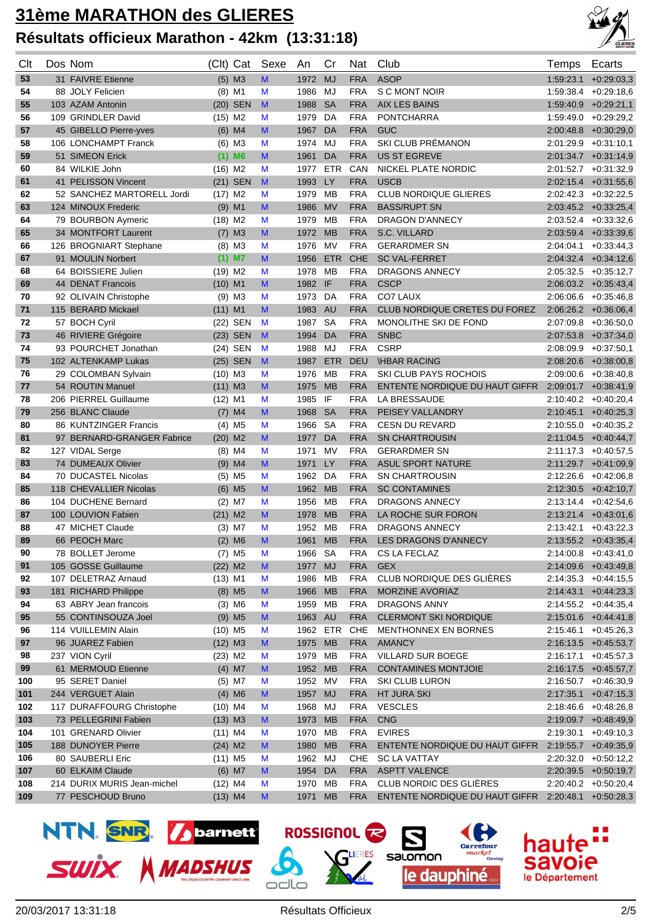

| Clt      | Dos Nom                                    | (Clt)                  | Cat                              | Sexe         | An                 | Cr         | Nat                      | Club                                                | Temps     | Ecarts                                            |
|----------|--------------------------------------------|------------------------|----------------------------------|--------------|--------------------|------------|--------------------------|-----------------------------------------------------|-----------|---------------------------------------------------|
| 53       | 31 FAIVRE Etienne                          |                        | $(5)$ M3                         | M            | 1972               | <b>MJ</b>  | <b>FRA</b>               | <b>ASOP</b>                                         | 1:59:23.1 | $+0.29:03.3$                                      |
| 54       | 88 JOLY Felicien                           |                        | $(8)$ M1                         | M            | 1986               | MJ         | <b>FRA</b>               | S C MONT NOIR                                       | 1:59:38.4 | $+0.29.18.6$                                      |
| 55       | 103 AZAM Antonin                           |                        | (20) SEN                         | M            | 1988               | <b>SA</b>  | <b>FRA</b>               | <b>AIX LES BAINS</b>                                |           | $1:59:40.9$ +0:29:21,1                            |
| 56       | 109 GRINDLER David                         | $(15)$ M2              |                                  | M            | 1979               | DA         | <b>FRA</b>               | <b>PONTCHARRA</b>                                   |           | 1:59:49.0 +0:29:29.2                              |
| 57       | 45 GIBELLO Pierre-yves                     |                        | $(6)$ M4                         | M            | 1967               | DA         | <b>FRA</b>               | <b>GUC</b>                                          |           | $2:00.48.8$ $+0:30.29.0$                          |
| 58       | 106 LONCHAMPT Franck                       |                        | $(6)$ M3                         | M            | 1974               | MJ         | <b>FRA</b>               | SKI CLUB PRÉMANON                                   |           | $2:01:29.9$ +0:31:10.1                            |
| 59       | 51 SIMEON Erick                            |                        | $(1)$ M6                         | M            | 1961               | DA         | <b>FRA</b>               | <b>US ST EGREVE</b>                                 |           | 2:01:34.7 +0:31:14,9                              |
| 60       | 84 WILKIE John                             | $(16)$ M <sub>2</sub>  |                                  | M            | 1977               | ETR        | CAN                      | NICKEL PLATE NORDIC                                 |           | 2:01:52.7 +0:31:32,9                              |
| 61       | 41 PELISSON Vincent                        |                        | (21) SEN                         | M            | 1993               | LY         | <b>FRA</b>               | <b>USCB</b>                                         |           | $2:02:15.4$ +0:31:55,6                            |
| 62       | 52 SANCHEZ MARTORELL Jordi                 | $(17)$ M2              |                                  | M            | 1979               | MB         | <b>FRA</b>               | <b>CLUB NORDIQUE GLIERES</b>                        |           | $2:02:42.3$ +0:32:22,5                            |
| 63       | 124 MINOUX Frederic                        |                        | $(9)$ M1                         | M            | 1986               | <b>MV</b>  | <b>FRA</b>               | <b>BASS/RUPT SN</b>                                 |           | $2:03:45.2$ +0:33:25,4                            |
| 64       | 79 BOURBON Aymeric                         | $(18)$ M2              |                                  | M            | 1979               | MВ         | <b>FRA</b>               | DRAGON D'ANNECY                                     |           | $2:03.52.4$ +0:33:32,6                            |
| 65       | 34 MONTFORT Laurent                        |                        | $(7)$ M3                         | M            | 1972               | <b>MB</b>  | <b>FRA</b>               | S.C. VILLARD                                        |           | $2:03:59.4$ +0:33:39,6                            |
| 66       | 126 BROGNIART Stephane                     |                        | $(8)$ M3                         | M            | 1976               | <b>MV</b>  | <b>FRA</b>               | <b>GERARDMER SN</b>                                 |           | $2:04:04.1 + 0:33:44,3$                           |
| 67       | 91 MOULIN Norbert                          |                        | $(1)$ M7                         | M            | 1956               | <b>ETR</b> | <b>CHE</b>               | <b>SC VAL-FERRET</b>                                |           | $2:04:32.4$ +0:34:12,6                            |
| 68       | 64 BOISSIERE Julien                        | $(19)$ M <sub>2</sub>  |                                  | M            | 1978               | MВ         | <b>FRA</b>               | DRAGONS ANNECY                                      |           | $2:05:32.5$ +0:35:12,7                            |
| 69       | 44 DENAT Francois                          | $(10)$ M1              |                                  | M            | 1982               | - IF       | <b>FRA</b>               | <b>CSCP</b>                                         |           | $2:06:03.2$ +0:35:43.4                            |
| 70       | 92 OLIVAIN Christophe                      |                        | $(9)$ M3                         | M            | 1973               | DA         | <b>FRA</b>               | CO7 LAUX                                            |           | $2:06:06.6$ +0:35:46,8                            |
| 71       | 115 BERARD Mickael                         | $(11)$ M1              |                                  | M            | 1983               | <b>AU</b>  | <b>FRA</b>               | CLUB NORDIQUE CRETES DU FOREZ                       |           | $2:06:26.2$ +0:36:06,4                            |
| 72       | 57 BOCH Cyril                              |                        | (22) SEN                         | M            | 1987               | <b>SA</b>  | <b>FRA</b>               | MONOLITHE SKI DE FOND                               | 2:07:09.8 | $+0.36.50,0$                                      |
| 73       | 46 RIVIERE Grégoire                        |                        | $(23)$ SEN                       | M            | 1994               | DA         | <b>FRA</b>               | <b>SNBC</b>                                         |           | $2:07:53.8$ +0:37:34,0                            |
| 74       | 93 POURCHET Jonathan                       |                        | (24) SEN                         | M            | 1988               | MJ         | <b>FRA</b>               | <b>CSRP</b>                                         | 2:08:09.9 | $+0.37:50,1$                                      |
| 75       | 102 ALTENKAMP Lukas                        |                        | (25) SEN                         | $\mathbf{M}$ | 1987               | <b>ETR</b> | <b>DEU</b>               | <b>IHBAR RACING</b>                                 |           | $2:08:20.6$ +0:38:00,8                            |
| 76       | 29 COLOMBAN Sylvain                        | $(10)$ M3              |                                  | M            | 1976               | MВ         | <b>FRA</b>               | <b>SKI CLUB PAYS ROCHOIS</b>                        |           | $2:09:00.6$ +0:38:40.8                            |
| 77       | 54 ROUTIN Manuel                           | $(11)$ M3              |                                  | M            | 1975               | <b>MB</b>  | <b>FRA</b>               | ENTENTE NORDIQUE DU HAUT GIFFR                      |           | $2:09:01.7$ +0:38:41,9                            |
| 78       | 206 PIERREL Guillaume                      | $(12)$ M1              |                                  | M            | 1985               | -IF        | <b>FRA</b>               | <b>LA BRESSAUDE</b>                                 |           | $2:10:40.2$ +0:40:20,4                            |
| 79       | 256 BLANC Claude                           |                        | $(7)$ M4                         | M            | 1968               | <b>SA</b>  | <b>FRA</b>               | PEISEY VALLANDRY                                    |           | $2:10:45.1 + 0:40:25.3$                           |
| 80       | 86 KUNTZINGER Francis                      |                        | $(4)$ M5                         | M            | 1966               | <b>SA</b>  | <b>FRA</b>               | <b>CESN DU REVARD</b>                               |           | $2:10:55.0 + 0:40:35.2$                           |
| 81       | 97 BERNARD-GRANGER Fabrice                 | $(20)$ M2              |                                  | M            | 1977               | DA         | <b>FRA</b>               | <b>SN CHARTROUSIN</b>                               |           | $2:11:04.5 + 0:40:44.7$                           |
| 82       | 127 VIDAL Serge                            |                        | $(8)$ M4                         | M            | 1971               | MV         | <b>FRA</b>               | <b>GERARDMER SN</b>                                 |           | $2:11:17.3 + 0:40:57.5$                           |
| 83       | 74 DUMEAUX Olivier                         |                        | $(9)$ M4                         | M            | 1971               | LY         | <b>FRA</b>               | <b>ASUL SPORT NATURE</b>                            |           | $2:11:29.7$ +0:41:09,9                            |
| 84       | 70 DUCASTEL Nicolas                        |                        | $(5)$ M5                         | M            | 1962               | DA         | <b>FRA</b>               | <b>SN CHARTROUSIN</b>                               | 2:12:26.6 | $+0.42:06,8$                                      |
| 85       | 118 CHEVALLIER Nicolas                     |                        | $(6)$ M <sub>5</sub>             | M            | 1962               | <b>MB</b>  | <b>FRA</b>               | <b>SC CONTAMINES</b>                                |           | $2:12:30.5$ +0:42:10,7                            |
| 86       | 104 DUCHENE Bernard                        |                        | $(2)$ M7                         | M            | 1956               | MВ         | <b>FRA</b>               | <b>DRAGONS ANNECY</b>                               |           | $2:13:14.4$ +0:42:54,6                            |
| 87       | 100 LOUVION Fabien                         | $(21)$ M2              |                                  | M            | 1978               | <b>MB</b>  | <b>FRA</b>               | LA ROCHE SUR FORON                                  |           | $2:13:21.4$ +0:43:01,6                            |
| 88       | 47 MICHET Claude                           |                        | $(3)$ M7                         | M            | 1952               | MВ         | <b>FRA</b>               | <b>DRAGONS ANNECY</b>                               |           | $2:13:42.1$ +0:43:22,3                            |
| 89       | 66 PEOCH Marc                              |                        | $(2)$ M6                         | M            | 1961               | <b>MB</b>  | <b>FRA</b>               | <b>LES DRAGONS D'ANNECY</b>                         |           | 2:13:55.2 +0:43:35,4                              |
| 90       | 78 BOLLET Jerome                           |                        | $(7)$ M <sub>5</sub>             | M            | 1966 SA            |            | FRA                      | CS LA FECLAZ                                        |           | $2:14:00.8$ +0:43:41,0                            |
| 91       | 105 GOSSE Guillaume<br>107 DELETRAZ Arnaud | $(22)$ M2<br>$(13)$ M1 |                                  | M            | 1977 MJ            |            | <b>FRA</b><br><b>FRA</b> | <b>GEX</b><br>CLUB NORDIQUE DES GLIÈRES             |           | $2:14:09.6$ +0:43:49,8<br>$2:14:35.3 + 0:44:15.5$ |
| 92<br>93 | 181 RICHARD Philippe                       |                        |                                  | M<br>M       | 1986 MB<br>1966 MB |            | <b>FRA</b>               | MORZINE AVORIAZ                                     |           | $2:14:43.1 + 0:44:23.3$                           |
| 94       | 63 ABRY Jean francois                      |                        | $(8)$ M <sub>5</sub><br>$(3)$ M6 | M            | 1959 MB            |            | <b>FRA</b>               | <b>DRAGONS ANNY</b>                                 |           | $2:14:55.2 +0:44:35,4$                            |
| 95       | 55 CONTINSOUZA Joel                        |                        | $(9)$ M <sub>5</sub>             | M            | 1963 AU            |            | <b>FRA</b>               | <b>CLERMONT SKI NORDIQUE</b>                        |           | $2:15:01.6$ +0:44:41,8                            |
| 96       | 114 VUILLEMIN Alain                        | $(10)$ M <sub>5</sub>  |                                  | M            | 1962 ETR           |            | CHE                      | MENTHONNEX EN BORNES                                |           | $2:15:46.1 + 0:45:26.3$                           |
| 97       | 96 JUAREZ Fabien                           | $(12)$ M3              |                                  | M            | 1975 MB            |            | <b>FRA</b>               | <b>AMANCY</b>                                       |           | $2:16:13.5$ +0:45:53,7                            |
| 98       | 237 VION Cyril                             | $(23)$ M2              |                                  | M            | 1979 MB            |            | FRA                      | VILLARD SUR BOEGE                                   |           | $2:16:17.1$ +0:45:57,3                            |
| 99       | 61 MERMOUD Etienne                         |                        | $(4)$ M7                         | M            | 1952 MB            |            | <b>FRA</b>               | <b>CONTAMINES MONTJOIE</b>                          |           | $2:16:17.5$ +0:45:57,7                            |
| 100      | 95 SERET Daniel                            |                        | $(5)$ M7                         | M            | 1952 MV            |            | FRA                      | <b>SKI CLUB LURON</b>                               |           | $2:16:50.7$ +0:46:30,9                            |
| 101      | 244 VERGUET Alain                          |                        | $(4)$ M6                         | M            | 1957 MJ            |            | <b>FRA</b>               | HT JURA SKI                                         |           | $2:17:35.1$ +0:47:15,3                            |
| 102      | 117 DURAFFOURG Christophe                  | $(10)$ M4              |                                  | M            | 1968 MJ            |            | <b>FRA</b>               | <b>VESCLES</b>                                      |           | $2:18.46.6 + 0.48:26.8$                           |
| 103      | 73 PELLEGRINI Fabien                       | $(13)$ M3              |                                  | M            | 1973 MB            |            | <b>FRA</b>               | <b>CNG</b>                                          |           | $2:19:09.7$ +0:48:49,9                            |
| 104      | 101 GRENARD Olivier                        | $(11)$ M4              |                                  | M            | 1970 MB            |            | <b>FRA</b>               | <b>EVIRES</b>                                       |           | $2:19:30.1$ +0:49:10,3                            |
| 105      | 188 DUNOYER Pierre                         | $(24)$ M2              |                                  | M            | 1980 MB            |            | <b>FRA</b>               | ENTENTE NORDIQUE DU HAUT GIFFR                      |           | $2:19:55.7$ +0:49:35,9                            |
| 106      | 80 SAUBERLI Eric                           | $(11)$ M5              |                                  | M            | 1962 MJ            |            | CHE.                     | <b>SC LA VATTAY</b>                                 |           | $2:20:32.0$ +0:50:12,2                            |
| 107      | 60 ELKAIM Claude                           |                        | $(6)$ M7                         | M            | 1954 DA            |            | <b>FRA</b>               | <b>ASPTT VALENCE</b>                                |           | $2:20:39.5$ +0:50:19,7                            |
| 108      | 214 DURIX MURIS Jean-michel                | $(12)$ M4              |                                  | M            | 1970 MB            |            | FRA                      | CLUB NORDIC DES GLIÈRES                             |           | $2:20:40.2$ +0:50:20,4                            |
| 109      | 77 PESCHOUD Bruno                          | $(13)$ M4              |                                  | M            | 1971 MB            |            | <b>FRA</b>               | ENTENTE NORDIQUE DU HAUT GIFFR 2:20:48.1 +0:50:28,3 |           |                                                   |





ROSSIGNOL **R** 

salomon

le dauphiné

hau

voje

le Département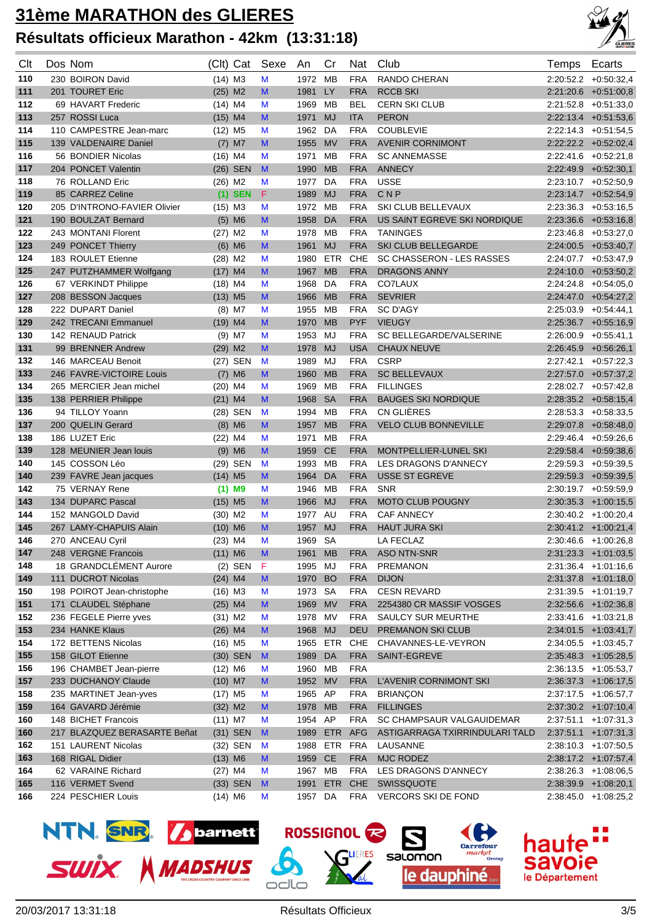

| Clt | Dos Nom                      |                       | (Clt) Cat  | Sexe | An       | Cr           | Nat        | Club                           | Temps     | Ecarts                  |
|-----|------------------------------|-----------------------|------------|------|----------|--------------|------------|--------------------------------|-----------|-------------------------|
| 110 | 230 BOIRON David             | $(14)$ M3             |            | M    | 1972     | MB           | <b>FRA</b> | <b>RANDO CHERAN</b>            |           | $2:20:52.2$ +0:50:32,4  |
| 111 | 201 TOURET Eric              | $(25)$ M2             |            | M    | 1981     | LY           | <b>FRA</b> | <b>RCCB SKI</b>                |           | $2:21:20.6$ +0:51:00.8  |
| 112 | 69 HAVART Frederic           | $(14)$ M4             |            | M    | 1969 MB  |              | <b>BEL</b> | <b>CERN SKI CLUB</b>           |           | $2:21:52.8$ +0:51:33,0  |
| 113 | 257 ROSSI Luca               | $(15)$ M4             |            | M    | 1971     | <b>MJ</b>    | <b>ITA</b> | <b>PERON</b>                   |           | $2:22:13.4$ +0:51:53,6  |
| 114 | 110 CAMPESTRE Jean-marc      | $(12)$ M <sub>5</sub> |            | M    | 1962     | DA           | <b>FRA</b> | <b>COUBLEVIE</b>               |           | $2:22:14.3$ +0:51:54.5  |
| 115 | 139 VALDENAIRE Daniel        |                       | $(7)$ M7   | M    | 1955     | <b>MV</b>    | <b>FRA</b> | <b>AVENIR CORNIMONT</b>        |           | $2:22:22.2$ +0:52:02,4  |
| 116 | 56 BONDIER Nicolas           | $(16)$ M4             |            | M    | 1971     | MВ           | <b>FRA</b> | <b>SC ANNEMASSE</b>            |           | $2:22:41.6$ +0:52:21,8  |
| 117 | 204 PONCET Valentin          |                       | $(26)$ SEN | M    | 1990     | <b>MB</b>    | <b>FRA</b> | <b>ANNECY</b>                  |           | 2:22:49.9 +0:52:30.1    |
| 118 | 76 ROLLAND Eric              | $(26)$ M2             |            | M    | 1977     | DA           | <b>FRA</b> | <b>USSE</b>                    |           | $2:23:10.7$ +0:52:50.9  |
| 119 | 85 CARREZ Celine             |                       | $(1)$ SEN  | F.   | 1989     | <b>MJ</b>    | <b>FRA</b> | CNP                            |           | $2:23:14.7$ +0:52:54,9  |
| 120 | 205 D'INTRONO-FAVIER Olivier | $(15)$ M3             |            | M    | 1972     | MВ           | <b>FRA</b> | SKI CLUB BELLEVAUX             |           | $2:23:36.3$ +0:53:16,5  |
| 121 | 190 BOULZAT Bernard          |                       | $(5)$ M6   | M    | 1958     | DA           | <b>FRA</b> | US SAINT EGREVE SKI NORDIQUE   |           | $2:23:36.6$ +0:53:16,8  |
| 122 | 243 MONTANI Florent          | $(27)$ M2             |            | M    | 1978 MB  |              | <b>FRA</b> | <b>TANINGES</b>                |           | $2:23:46.8$ +0:53:27,0  |
| 123 | 249 PONCET Thierry           |                       | $(6)$ M6   | M    | 1961     | <b>MJ</b>    | <b>FRA</b> | SKI CLUB BELLEGARDE            |           | $2:24:00.5$ +0:53:40,7  |
| 124 | 183 ROULET Etienne           | $(28)$ M2             |            | M    | 1980     | ETR          | <b>CHE</b> | SC CHASSERON - LES RASSES      |           | 2:24:07.7 +0:53:47,9    |
| 125 | 247 PUTZHAMMER Wolfgang      | $(17)$ M4             |            | M    | 1967     | <b>MB</b>    | <b>FRA</b> | <b>DRAGONS ANNY</b>            |           | $2:24:10.0 + 0.53:50,2$ |
| 126 | 67 VERKINDT Philippe         | $(18)$ M4             |            | M    | 1968     | DA           | <b>FRA</b> | <b>CO7LAUX</b>                 |           | $2:24:24.8$ +0:54:05,0  |
| 127 | 208 BESSON Jacques           | $(13)$ M5             |            | M    | 1966     | <b>MB</b>    | <b>FRA</b> | <b>SEVRIER</b>                 |           | $2:24:47.0 +0:54:27,2$  |
| 128 | 222 DUPART Daniel            |                       | $(8)$ M7   | M    | 1955     | MВ           | <b>FRA</b> | <b>SC D'AGY</b>                |           | $2:25.03.9$ +0:54:44,1  |
| 129 | 242 TRECANI Emmanuel         | $(19)$ M4             |            | M    | 1970     | <b>MB</b>    | <b>PYF</b> | <b>VIEUGY</b>                  |           | $2:25:36.7$ +0:55:16,9  |
| 130 | 142 RENAUD Patrick           |                       | $(9)$ M7   | M    | 1953     | MJ           | <b>FRA</b> | SC BELLEGARDE/VALSERINE        |           | $2:26.00.9$ +0:55:41,1  |
| 131 | 99 BRENNER Andrew            | $(29)$ M2             |            | M    | 1978     | <b>MJ</b>    | <b>USA</b> | <b>CHAUX NEUVE</b>             |           | $2:26:45.9$ +0:56:26,1  |
| 132 | 146 MARCEAU Benoit           |                       | (27) SEN   | M    | 1989     | MJ           | <b>FRA</b> | <b>CSRP</b>                    | 2:27:42.1 | $+0.57:22.3$            |
| 133 | 246 FAVRE-VICTOIRE Louis     |                       | $(7)$ M6   | M    | 1960     | <b>MB</b>    | <b>FRA</b> | <b>SC BELLEVAUX</b>            |           | $2:27:57.0$ +0:57:37,2  |
| 134 | 265 MERCIER Jean michel      | $(20)$ M4             |            | M    | 1969     | МB           | <b>FRA</b> | <b>FILLINGES</b>               |           | $2:28:02.7$ +0:57:42,8  |
| 135 | 138 PERRIER Philippe         | $(21)$ M4             |            | M    | 1968     | <b>SA</b>    | <b>FRA</b> | <b>BAUGES SKI NORDIQUE</b>     |           | $2:28:35.2$ +0:58:15,4  |
| 136 | 94 TILLOY Yoann              |                       | (28) SEN   | M    | 1994     | MВ           | <b>FRA</b> | CN GLIÈRES                     |           | $2:28:53.3 + 0.58:33.5$ |
| 137 | 200 QUELIN Gerard            |                       | $(8)$ M6   | M    | 1957     | <b>MB</b>    | <b>FRA</b> | <b>VELO CLUB BONNEVILLE</b>    |           | 2:29:07.8 +0:58:48,0    |
| 138 | 186 LUZET Eric               | $(22)$ M4             |            | M    | 1971     | MB           | <b>FRA</b> |                                |           | $2:29:46.4$ +0:59:26,6  |
| 139 | 128 MEUNIER Jean Iouis       |                       | $(9)$ M6   | M    | 1959     | <b>CE</b>    | <b>FRA</b> | MONTPELLIER-LUNEL SKI          |           | 2:29:58.4 +0:59:38,6    |
| 140 | 145 COSSON Léo               |                       | (29) SEN   | M    | 1993     | MВ           | <b>FRA</b> | LES DRAGONS D'ANNECY           |           | $2:29:59.3 + 0:59:39.5$ |
| 140 | 239 FAVRE Jean jacques       | $(14)$ M <sub>5</sub> |            | M    | 1964     | DA           | <b>FRA</b> | <b>USSE ST EGREVE</b>          |           | $2:29.59.3$ +0:59:39,5  |
| 142 | 75 VERNAY Rene               |                       | $(1)$ M9   | M    | 1946     | MВ           | <b>FRA</b> | <b>SNR</b>                     |           | $2:30:19.7$ +0:59:59.9  |
| 143 | 134 DUPARC Pascal            | $(15)$ M5             |            | M    | 1966     | <b>MJ</b>    | <b>FRA</b> | <b>MOTO CLUB POUGNY</b>        |           | $2:30:35.3$ +1:00:15,5  |
| 144 | 152 MANGOLD David            | $(30)$ M <sub>2</sub> |            | M    | 1977 AU  |              | <b>FRA</b> | <b>CAF ANNECY</b>              |           | $2:30.40.2$ +1:00:20,4  |
| 145 | 267 LAMY-CHAPUIS Alain       | $(10)$ M6             |            | M    | 1957     | <b>MJ</b>    | <b>FRA</b> | <b>HAUT JURA SKI</b>           |           | 2:30:41.2 +1:00:21,4    |
| 146 | 270 ANCEAU Cyril             | $(23)$ M4             |            | M    | 1969 SA  |              |            | <b>LA FECLAZ</b>               |           | 2:30:46.6 +1:00:26.8    |
| 147 | 248 VERGNE Francois          | $(11)$ M6             |            | M    | 1961     | <b>MB</b>    | <b>FRA</b> | ASO NTN-SNR                    |           | 2:31:23.3 +1:01:03,5    |
| 148 | 18 GRANDCLEMENT Aurore       |                       | $(2)$ SEN  | F    | 1995 MJ  |              | <b>FRA</b> | <b>PREMANON</b>                |           | 2:31:36.4 +1:01:16,6    |
| 149 | 111 DUCROT Nicolas           | $(24)$ M4             |            | M    | 1970 BO  |              | <b>FRA</b> | <b>DIJON</b>                   |           | $2:31:37.8$ +1:01:18,0  |
| 150 | 198 POIROT Jean-christophe   | $(16)$ M3             |            | M    | 1973 SA  |              | <b>FRA</b> | <b>CESN REVARD</b>             |           | $2:31:39.5$ +1:01:19,7  |
| 151 | 171 CLAUDEL Stéphane         | $(25)$ M4             |            | M    | 1969 MV  |              | <b>FRA</b> | 2254380 CR MASSIF VOSGES       |           | $2:32:56.6$ +1:02:36,8  |
| 152 | 236 FEGELE Pierre yves       | $(31)$ M2             |            | M    | 1978 MV  |              | <b>FRA</b> | <b>SAULCY SUR MEURTHE</b>      |           | 2:33:41.6 +1:03:21,8    |
| 153 | 234 HANKE Klaus              | $(26)$ M4             |            | M    | 1968 MJ  |              | <b>DEU</b> | PREMANON SKI CLUB              |           | $2:34:01.5$ +1:03:41,7  |
| 154 | 172 BETTENS Nicolas          | $(16)$ M5             |            | M    | 1965 ETR |              | <b>CHE</b> | CHAVANNES-LE-VEYRON            |           | $2:34:05.5$ +1:03:45,7  |
| 155 | 158 GILOT Etienne            |                       | $(30)$ SEN | M    | 1989 DA  |              | <b>FRA</b> | SAINT-EGREVE                   |           | 2:35:48.3 +1:05:28,5    |
| 156 | 196 CHAMBET Jean-pierre      | $(12)$ M6             |            | M    | 1960 MB  |              | <b>FRA</b> |                                |           | $2:36:13.5$ +1:05:53,7  |
| 157 | 233 DUCHANOY Claude          | $(10)$ M7             |            | M    | 1952 MV  |              | <b>FRA</b> | L'AVENIR CORNIMONT SKI         |           | $2:36:37.3$ +1:06:17,5  |
| 158 | 235 MARTINET Jean-yves       | $(17)$ M5             |            | M    | 1965 AP  |              | <b>FRA</b> | <b>BRIANÇON</b>                |           | $2:37:17.5$ +1:06:57,7  |
| 159 | 164 GAVARD Jérémie           | $(32)$ M2             |            | M    | 1978 MB  |              | <b>FRA</b> | <b>FILLINGES</b>               |           | $2:37:30.2$ +1:07:10,4  |
| 160 | 148 BICHET Francois          | $(11)$ M7             |            | M    | 1954 AP  |              | <b>FRA</b> | SC CHAMPSAUR VALGAUIDEMAR      |           | 2:37:51.1 +1:07:31,3    |
| 160 | 217 BLAZQUEZ BERASARTE Beñat |                       | (31) SEN   | M    |          | 1989 ETR AFG |            | ASTIGARRAGA TXIRRINDULARI TALD |           | $2:37:51.1$ +1:07:31,3  |
| 162 | 151 LAURENT Nicolas          |                       | (32) SEN   | M    |          | 1988 ETR     | <b>FRA</b> | LAUSANNE                       |           | $2:38:10.3$ +1:07:50,5  |
| 163 | 168 RIGAL Didier             | $(13)$ M6             |            | M    | 1959 CE  |              | <b>FRA</b> | <b>MJC RODEZ</b>               |           | 2:38:17.2 +1:07:57,4    |
| 164 | 62 VARAINE Richard           | $(27)$ M4             |            | M    | 1967 MB  |              | <b>FRA</b> | LES DRAGONS D'ANNECY           |           | $2:38:26.3$ +1:08:06,5  |
| 165 | 116 VERMET Svend             |                       | $(33)$ SEN | M    | 1991     | ETR CHE      |            | SWISSQUOTE                     |           | $2:38:39.9$ +1:08:20,1  |
| 166 | 224 PESCHIER Louis           | $(14)$ M6             |            | M    | 1957 DA  |              | <b>FRA</b> | <b>VERCORS SKI DE FOND</b>     |           | $2:38:45.0$ +1:08:25,2  |









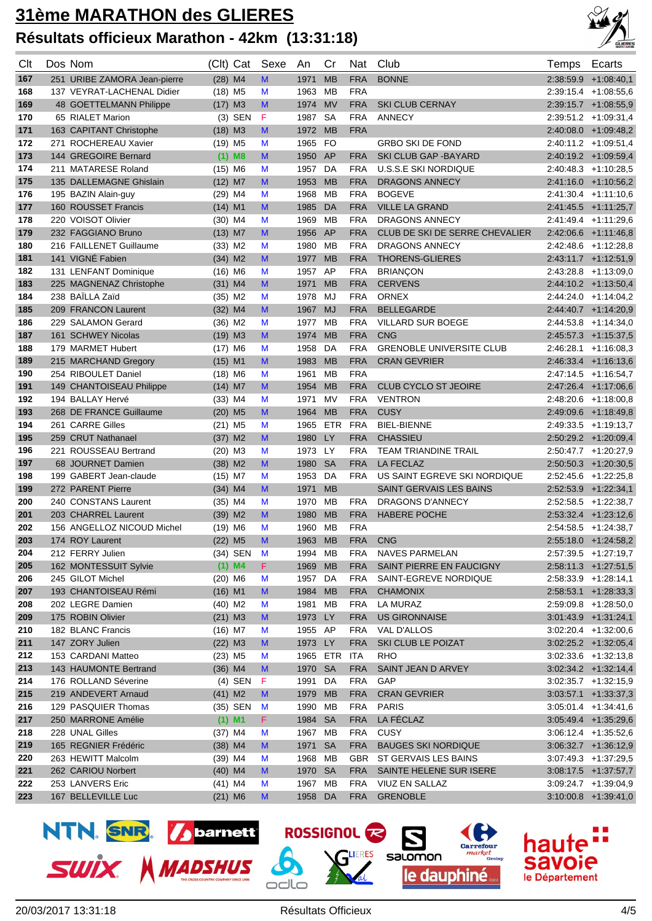

| Clt        | Dos Nom                                     |                                    | (Clt) Cat   | Sexe   | An           | Cr              | Nat                      | Club                                          | Temps     | Ecarts                                           |
|------------|---------------------------------------------|------------------------------------|-------------|--------|--------------|-----------------|--------------------------|-----------------------------------------------|-----------|--------------------------------------------------|
| 167        | 251 URIBE ZAMORA Jean-pierre                | $(28)$ M4                          |             | M      | 1971         | <b>MB</b>       | <b>FRA</b>               | <b>BONNE</b>                                  |           | $2:38:59.9$ +1:08:40.1                           |
| 168        | 137 VEYRAT-LACHENAL Didier                  | $(18)$ M <sub>5</sub>              |             | M      | 1963 MB      |                 | <b>FRA</b>               |                                               |           | $2:39:15.4$ +1:08:55,6                           |
| 169        | 48 GOETTELMANN Philippe                     | $(17)$ M3                          |             | M      | 1974         | <b>MV</b>       | <b>FRA</b>               | <b>SKI CLUB CERNAY</b>                        |           | $2:39:15.7$ +1:08:55,9                           |
| 170        | 65 RIALET Marion                            |                                    | $(3)$ SEN   | F      | 1987         | <b>SA</b>       | <b>FRA</b>               | <b>ANNECY</b>                                 |           | $2:39:51.2$ +1:09:31,4                           |
| 171        | 163 CAPITANT Christophe                     | $(18)$ M3                          |             | M      | 1972         | <b>MB</b>       | <b>FRA</b>               |                                               |           | $2:40:08.0 +1:09:48.2$                           |
| 172        | 271 ROCHEREAU Xavier                        | $(19)$ M <sub>5</sub>              |             | M      | 1965 FO      |                 |                          | <b>GRBO SKI DE FOND</b>                       |           | $2:40:11.2$ +1:09:51,4                           |
| 173        | 144 GREGOIRE Bernard                        |                                    | $(1)$ M8    | M      | 1950 AP      |                 | <b>FRA</b>               | <b>SKI CLUB GAP - BAYARD</b>                  |           | $2:40:19.2$ +1:09:59,4                           |
| 174        | 211 MATARESE Roland                         | $(15)$ M6                          |             | M      | 1957         | DA              | <b>FRA</b>               | <b>U.S.S.E SKI NORDIQUE</b>                   |           | $2:40.48.3$ +1:10:28,5                           |
| 175        | 135 DALLEMAGNE Ghislain                     | $(12)$ M7                          |             | M      | 1953         | <b>MB</b>       | <b>FRA</b>               | <b>DRAGONS ANNECY</b>                         |           | 2:41:16.0 +1:10:56,2                             |
| 176        | 195 BAZIN Alain-guy                         | $(29)$ M4                          |             | M      | 1968         | МB              | <b>FRA</b>               | <b>BOGEVE</b>                                 |           | $2:41:30.4$ +1:11:10,6                           |
| 177        | 160 ROUSSET Francis                         | $(14)$ M1                          |             | M      | 1985         | DA              | <b>FRA</b>               | <b>VILLE LA GRAND</b>                         |           | 2:41:45.5 +1:11:25,7                             |
| 178        | 220 VOISOT Olivier                          | $(30)$ M4                          |             | M      | 1969 MB      |                 | <b>FRA</b>               | DRAGONS ANNECY                                |           | 2:41:49.4 +1:11:29,6                             |
| 179        | 232 FAGGIANO Bruno                          | $(13)$ M7                          |             | M      | 1956 AP      |                 | <b>FRA</b>               | CLUB DE SKI DE SERRE CHEVALIER                |           | $2:42.06.6$ +1:11:46,8                           |
| 180        | 216 FAILLENET Guillaume                     | $(33)$ M2                          |             | M      | 1980 MB      |                 | <b>FRA</b>               | <b>DRAGONS ANNECY</b>                         |           | 2:42:48.6 +1:12:28,8                             |
| 181        | 141 VIGNÉ Fabien                            | $(34)$ M2                          |             | M      | 1977         | <b>MB</b>       | <b>FRA</b>               | <b>THORENS-GLIERES</b>                        |           | $2:43:11.7$ +1:12:51,9                           |
| 182        | 131 LENFANT Dominique                       | $(16)$ M6                          |             | M      | 1957 AP      |                 | <b>FRA</b>               | <b>BRIANÇON</b>                               |           | 2:43:28.8 +1:13:09,0                             |
| 183        | 225 MAGNENAZ Christophe<br>238 BAÏLLA Zaïd  | $(31)$ M4                          |             | M      | 1971         | <b>MB</b>       | <b>FRA</b>               | <b>CERVENS</b>                                |           | $2:44:10.2$ +1:13:50,4                           |
| 184<br>185 | 209 FRANCON Laurent                         | $(35)$ M2                          |             | M<br>M | 1978<br>1967 | MJ<br><b>MJ</b> | <b>FRA</b><br><b>FRA</b> | <b>ORNEX</b><br><b>BELLEGARDE</b>             |           | $2:44:24.0 +1:14:04,2$<br>$2:44:40.7$ +1:14:20,9 |
|            |                                             | $(32)$ M4<br>$(36)$ M <sub>2</sub> |             |        |              |                 | <b>FRA</b>               | <b>VILLARD SUR BOEGE</b>                      |           | $2:44:53.8$ +1:14:34,0                           |
| 186        | 229 SALAMON Gerard                          |                                    |             | M      | 1977         | MB              |                          |                                               |           |                                                  |
| 187        | 161 SCHWEY Nicolas                          | $(19)$ M3                          |             | M      | 1974<br>1958 | <b>MB</b>       | <b>FRA</b>               | <b>CNG</b><br><b>GRENOBLE UNIVERSITE CLUB</b> |           | $2:45:57.3$ +1:15:37,5                           |
| 188        | 179 MARMET Hubert                           | $(17)$ M6                          |             | M      | 1983         | DA<br><b>MB</b> | <b>FRA</b><br><b>FRA</b> | <b>CRAN GEVRIER</b>                           | 2:46:28.1 | $+1:16:08,3$                                     |
| 189<br>190 | 215 MARCHAND Gregory<br>254 RIBOULET Daniel | $(15)$ M1                          |             | M<br>M | 1961         | MB              | <b>FRA</b>               |                                               |           | $2:46:33.4$ +1:16:13,6<br>$2:47:14.5$ +1:16:54,7 |
| 191        | 149 CHANTOISEAU Philippe                    | $(18)$ M6<br>$(14)$ M7             |             | M      | 1954         | <b>MB</b>       | <b>FRA</b>               | <b>CLUB CYCLO ST JEOIRE</b>                   |           | $2:47:26.4$ +1:17:06,6                           |
| 192        | 194 BALLAY Hervé                            | $(33)$ M4                          |             | M      | 1971         | MV              | <b>FRA</b>               | <b>VENTRON</b>                                |           | $2:48:20.6$ +1:18:00,8                           |
| 193        | 268 DE FRANCE Guillaume                     | $(20)$ M <sub>5</sub>              |             | M      | 1964         | <b>MB</b>       | <b>FRA</b>               | <b>CUSY</b>                                   |           | $2:49:09.6$ +1:18:49,8                           |
| 194        | 261 CARRE Gilles                            | $(21)$ M5                          |             | M      | 1965         | ETR             | FRA                      | <b>BIEL-BIENNE</b>                            |           | $2:49:33.5$ +1:19:13,7                           |
| 195        | 259 CRUT Nathanael                          | $(37)$ M2                          |             | M      | 1980         | LY              | <b>FRA</b>               | <b>CHASSIEU</b>                               |           | $2:50:29.2$ +1:20:09,4                           |
| 196        | 221 ROUSSEAU Bertrand                       | $(20)$ M3                          |             | M      | 1973 LY      |                 | <b>FRA</b>               | <b>TEAM TRIANDINE TRAIL</b>                   |           | $2:50.47.7$ +1:20:27,9                           |
| 197        | 68 JOURNET Damien                           | $(38)$ M2                          |             | M      | 1980         | <b>SA</b>       | <b>FRA</b>               | <b>LA FECLAZ</b>                              |           | $2:50:50.3$ +1:20:30,5                           |
| 198        | 199 GABERT Jean-claude                      | $(15)$ M7                          |             | M      | 1953         | DA              | <b>FRA</b>               | US SAINT EGREVE SKI NORDIQUE                  |           | $2:52.45.6$ +1:22:25,8                           |
| 199        | 272 PARENT Pierre                           | $(34)$ M4                          |             | M      | 1971         | <b>MB</b>       |                          | <b>SAINT GERVAIS LES BAINS</b>                |           | $2:52:53.9$ +1:22:34,1                           |
| 200        | 240 CONSTANS Laurent                        | $(35)$ M4                          |             | M      | 1970         | МB              | <b>FRA</b>               | DRAGONS D'ANNECY                              |           | $2:52:58.5$ +1:22:38,7                           |
| 201        | 203 CHARREL Laurent                         | $(39)$ M2                          |             | M      | 1980         | <b>MB</b>       | <b>FRA</b>               | <b>HABERE POCHE</b>                           |           | $2:53:32.4$ +1:23:12,6                           |
| 202        | 156 ANGELLOZ NICOUD Michel                  | $(19)$ M6                          |             | M      | 1960         | MВ              | <b>FRA</b>               |                                               |           | $2:54:58.5$ +1:24:38,7                           |
| 203        | 174 ROY Laurent                             | $(22)$ M <sub>5</sub>              |             | M      | 1963         | <b>MB</b>       | <b>FRA</b>               | <b>CNG</b>                                    |           | $2:55:18.0$ +1:24:58,2                           |
| 204        | 212 FERRY Julien                            |                                    | (34) SEN M  |        | 1994 MB      |                 | FRA                      | <b>NAVES PARMELAN</b>                         |           | $2:57:39.5$ +1:27:19,7                           |
| 205        | 162 MONTESSUIT Sylvie                       |                                    | $(1)$ M4    | F.     | 1969 MB      |                 | FRA                      | SAINT PIERRE EN FAUCIGNY                      |           | $2.58:11.3$ +1:27:51,5                           |
| 206        | 245 GILOT Michel                            | $(20)$ M6                          |             | M      | 1957 DA      |                 | FRA                      | SAINT-EGREVE NORDIQUE                         |           | $2:58:33.9$ +1:28:14,1                           |
| 207        | 193 CHANTOISEAU Rémi                        | $(16)$ M1                          |             | M      | 1984 MB      |                 | <b>FRA</b>               | <b>CHAMONIX</b>                               |           | $2.58.53.1 +1.28.33,3$                           |
| 208        | 202 LEGRE Damien                            | $(40)$ M2                          |             | M      | 1981 MB      |                 | <b>FRA</b>               | LA MURAZ                                      |           | 2:59:09.8 +1:28:50,0                             |
| 209        | 175 ROBIN Olivier                           | $(21)$ M3                          |             | M      | 1973 LY      |                 | <b>FRA</b>               | <b>US GIRONNAISE</b>                          |           | $3.01:43.9$ +1:31:24,1                           |
| 210        | 182 BLANC Francis                           | $(16)$ M7                          |             | M      | 1955 AP      |                 | FRA                      | VAL D'ALLOS                                   |           | $3.02:20.4$ +1:32:00,6                           |
| 211        | 147 ZORY Julien                             | $(22)$ M3                          |             | M      | 1973 LY      |                 | <b>FRA</b>               | SKI CLUB LE POIZAT                            |           | $3:02:25.2$ +1:32:05,4                           |
| 212        | 153 CARDANI Matteo                          | $(23)$ M <sub>5</sub>              |             | M      |              | 1965 ETR ITA    |                          | <b>RHO</b>                                    |           | 3:02:33.6 +1:32:13,8                             |
| 213        | 143 HAUMONTE Bertrand                       | $(36)$ M4                          |             | M      | 1970 SA      |                 | <b>FRA</b>               | SAINT JEAN D ARVEY                            |           | $3.02.34.2 +1.32.14,4$                           |
| 214        | 176 ROLLAND Séverine                        |                                    | $(4)$ SEN F |        | 1991 DA      |                 | FRA                      | GAP                                           |           | $3:02:35.7$ +1:32:15,9                           |
| 215        | 219 ANDEVERT Arnaud                         | $(41)$ M2                          |             | M      | 1979 MB      |                 | <b>FRA</b>               | <b>CRAN GEVRIER</b>                           |           | $3.03:57.1$ +1:33:37,3                           |
| 216        | 129 PASQUIER Thomas                         |                                    | (35) SEN    | M      | 1990 MB      |                 | <b>FRA</b>               | <b>PARIS</b>                                  |           | $3:05:01.4$ +1:34:41,6                           |
| 217        | 250 MARRONE Amélie                          |                                    | $(1)$ M1    | F.     | 1984 SA      |                 | <b>FRA</b>               | LA FÉCLAZ                                     |           | $3.05.49.4$ +1:35:29,6                           |
| 218        | 228 UNAL Gilles                             | $(37)$ M4                          |             | M      | 1967 MB      |                 | <b>FRA</b>               | <b>CUSY</b>                                   |           | $3:06:12.4$ +1:35:52,6                           |
| 219        | 165 REGNIER Frédéric                        | $(38)$ M4                          |             | M      | 1971 SA      |                 | <b>FRA</b>               | <b>BAUGES SKI NORDIQUE</b>                    |           | $3.06.32.7 +1.36.12.9$                           |
| 220        | 263 HEWITT Malcolm                          | $(39)$ M4                          |             | M      | 1968 MB      |                 | GBR                      | ST GERVAIS LES BAINS                          |           | $3:07:49.3$ +1:37:29,5                           |
| 221        | 262 CARIOU Norbert                          | $(40)$ M4                          |             | M      | 1970 SA      |                 | <b>FRA</b>               | SAINTE HELENE SUR ISERE                       |           | $3.08:17.5$ +1:37:57,7                           |
| 222        | 253 LANVERS Eric                            | $(41)$ M4                          |             | M      | 1967 MB      |                 | <b>FRA</b>               | VIUZ EN SALLAZ                                |           | $3:09:24.7$ +1:39:04,9                           |
| 223        | 167 BELLEVILLE Luc                          | $(21)$ M6                          |             | M      | 1958 DA      |                 | <b>FRA</b>               | <b>GRENOBLE</b>                               |           | $3:10:00.8$ +1:39:41,0                           |